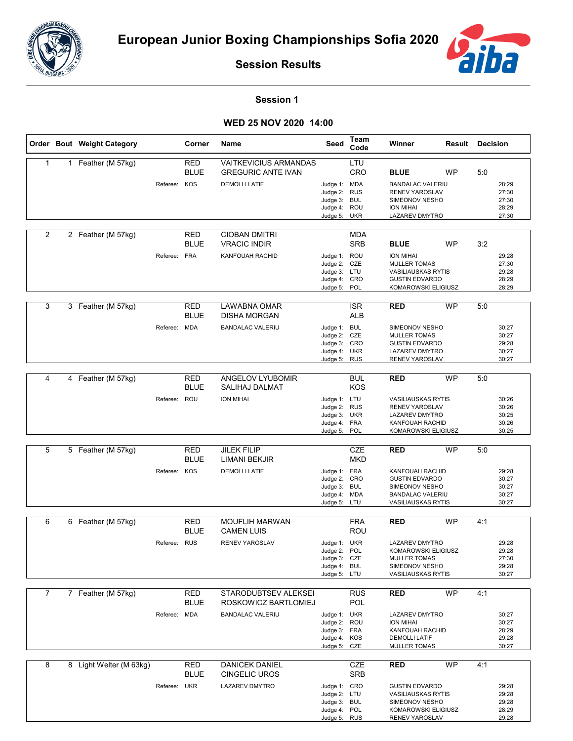



**Session Results**

## **Session 1**

## **WED 25 NOV 2020 14:00**

|                | Order Bout Weight Category |              | Corner                           | Name                                                                              | Seed                                                                         | Team<br>Code                    | Winner                                                                                                                           | <b>Result Decision</b> |     |                                           |
|----------------|----------------------------|--------------|----------------------------------|-----------------------------------------------------------------------------------|------------------------------------------------------------------------------|---------------------------------|----------------------------------------------------------------------------------------------------------------------------------|------------------------|-----|-------------------------------------------|
| 1              | 1 Feather (M 57kg)         | Referee: KOS | RED<br><b>BLUE</b>               | <b>VAITKEVICIUS ARMANDAS</b><br><b>GREGURIC ANTE IVAN</b><br><b>DEMOLLI LATIF</b> | Judge 1: MDA<br>Judge 2: RUS<br>Judge 3: BUL<br>Judge 4: ROU<br>Judge 5: UKR | LTU<br>CRO                      | <b>BLUE</b><br><b>BANDALAC VALERIU</b><br><b>RENEV YAROSLAV</b><br>SIMEONOV NESHO<br><b>ION MIHAI</b><br>LAZAREV DMYTRO          | <b>WP</b>              | 5:0 | 28:29<br>27:30<br>27:30<br>28:29<br>27:30 |
| $\overline{2}$ | 2 Feather (M 57kg)         | Referee: FRA | RED<br><b>BLUE</b>               | <b>CIOBAN DMITRI</b><br><b>VRACIC INDIR</b><br>KANFOUAH RACHID                    | Judge 1: ROU<br>Judge 2: CZE<br>Judge 3: LTU<br>Judge 4: CRO<br>Judge 5:     | <b>MDA</b><br><b>SRB</b><br>POL | <b>BLUE</b><br>ION MIHAI<br><b>MULLER TOMAS</b><br><b>VASILIAUSKAS RYTIS</b><br><b>GUSTIN EDVARDO</b><br>KOMAROWSKI ELIGIUSZ     | <b>WP</b>              | 3:2 | 29:28<br>27:30<br>29:28<br>28:29<br>28:29 |
| 3              | 3 Feather (M 57kg)         | Referee: MDA | <b>RED</b><br><b>BLUE</b>        | LAWABNA OMAR<br><b>DISHA MORGAN</b><br><b>BANDALAC VALERIU</b>                    | Judge 1: BUL<br>Judge 2: CZE<br>Judge 3: CRO<br>Judge 4: UKR<br>Judge 5: RUS | <b>ISR</b><br><b>ALB</b>        | <b>RED</b><br>SIMEONOV NESHO<br><b>MULLER TOMAS</b><br><b>GUSTIN EDVARDO</b><br><b>LAZAREV DMYTRO</b><br>RENEV YAROSLAV          | <b>WP</b>              | 5:0 | 30:27<br>30:27<br>29:28<br>30:27<br>30:27 |
| 4              | 4 Feather (M 57kg)         | Referee:     | RED<br><b>BLUE</b><br>ROU        | ANGELOV LYUBOMIR<br>SALIHAJ DALMAT<br><b>ION MIHAI</b>                            | Judge 1: LTU<br>Judge 2: RUS<br>Judge 3: UKR<br>Judge 4: FRA<br>Judge 5: POL | <b>BUL</b><br><b>KOS</b>        | <b>RED</b><br><b>VASILIAUSKAS RYTIS</b><br>RENEV YAROSLAV<br>LAZAREV DMYTRO<br>KANFOUAH RACHID<br>KOMAROWSKI ELIGIUSZ            | <b>WP</b>              | 5:0 | 30:26<br>30:26<br>30:25<br>30:26<br>30:25 |
| 5              | 5 Feather (M 57kg)         | Referee:     | <b>RED</b><br><b>BLUE</b><br>KOS | <b>JILEK FILIP</b><br>LIMANI BEKJIR<br><b>DEMOLLI LATIF</b>                       | Judge 1: FRA<br>Judge 2: CRO<br>Judge 3: BUL<br>Judge 4: MDA<br>Judge 5: LTU | <b>CZE</b><br>MKD               | <b>RED</b><br>KANFOUAH RACHID<br><b>GUSTIN EDVARDO</b><br>SIMEONOV NESHO<br><b>BANDALAC VALERIU</b><br><b>VASILIAUSKAS RYTIS</b> | <b>WP</b>              | 5:0 | 29:28<br>30:27<br>30:27<br>30:27<br>30:27 |
| 6              | 6 Feather (M 57kg)         | Referee: RUS | <b>RED</b><br><b>BLUE</b>        | <b>MOUFLIH MARWAN</b><br>CAMEN LUIS<br>RENEV YAROSLAV                             | Judge 1: UKR<br>Judge 2: POL<br>Judge 3: CZE<br>Judge 4: BUL<br>Judge 5: LTU | <b>FRA</b><br>ROU               | <b>RED</b><br><b>LAZAREV DMYTRO</b><br>KOMAROWSKI ELIGIUSZ<br><b>MULLER TOMAS</b><br>SIMEONOV NESHO<br><b>VASILIAUSKAS RYTIS</b> | <b>WP</b>              | 4:1 | 29:28<br>29:28<br>27:30<br>29:28<br>30:27 |
| 7              | 7 Feather (M 57kg)         | Referee: MDA | <b>RED</b><br><b>BLUE</b>        | STARODUBTSEV ALEKSEI<br>ROSKOWICZ BARTLOMIEJ<br><b>BANDALAC VALERIU</b>           | Judge 1: UKR<br>Judge 2: ROU<br>Judge 3: FRA<br>Judge 4: KOS<br>Judge 5: CZE | <b>RUS</b><br>POL               | <b>RED</b><br>LAZAREV DMYTRO<br>ION MIHAI<br>KANFOUAH RACHID<br><b>DEMOLLI LATIF</b><br><b>MULLER TOMAS</b>                      | <b>WP</b>              | 4:1 | 30:27<br>30:27<br>28:29<br>29:28<br>30:27 |
| 8              | 8 Light Welter (M 63kg)    | Referee: UKR | <b>RED</b><br><b>BLUE</b>        | <b>DANICEK DANIEL</b><br><b>CINGELIC UROS</b><br>LAZAREV DMYTRO                   | Judge 1: CRO<br>Judge 2: LTU<br>Judge 3: BUL<br>Judge 4: POL<br>Judge 5: RUS | CZE<br><b>SRB</b>               | <b>RED</b><br><b>GUSTIN EDVARDO</b><br><b>VASILIAUSKAS RYTIS</b><br>SIMEONOV NESHO<br>KOMAROWSKI ELIGIUSZ<br>RENEV YAROSLAV      | WP                     | 4:1 | 29:28<br>29:28<br>29:28<br>28:29<br>29:28 |